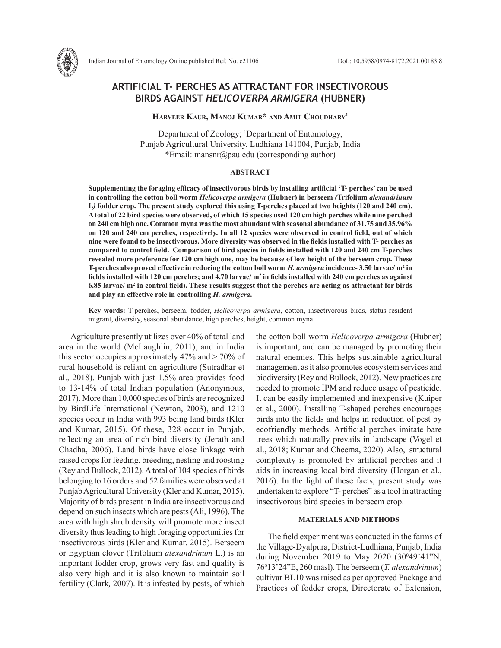

# **ARTIFICIAL T- PERCHES AS ATTRACTANT FOR INSECTIVOROUS BIRDS AGAINST** *HELICOVERPA ARMIGERA* **(HUBNER)**

# **Harveer Kaur, Manoj Kumar\* and Amit Choudhary1**

Department of Zoology; <sup>1</sup>Department of Entomology, Punjab Agricultural University, Ludhiana 141004, Punjab, India \*Email: mansnr@pau.edu (corresponding author)

## **ABSTRACT**

**Supplementing the foraging efficacy of insectivorous birds by installing artificial 'T- perches' can be used in controlling the cotton boll worm** *Helicoverpa armigera* **(Hubner) in berseem** *(***Trifolium** *alexandrinum*  **L***)* **fodder crop. The present study explored this using T-perches placed at two heights (120 and 240 cm). A total of 22 bird species were observed, of which 15 species used 120 cm high perches while nine perched on 240 cm high one. Common myna was the most abundant with seasonal abundance of 31.75 and 35.96% on 120 and 240 cm perches, respectively. In all 12 species were observed in control field, out of which nine were found to be insectivorous. More diversity was observed in the fields installed with T- perches as compared to control field. Comparison of bird species in fields installed with 120 and 240 cm T-perches revealed more preference for 120 cm high one, may be because of low height of the berseem crop. These T-perches also proved effective in reducing the cotton boll worm** *H. armigera* **incidence- 3.50 larvae/ m2 in fields installed with 120 cm perches; and 4.70 larvae/ m2 in fields installed with 240 cm perches as against 6.85 larvae/ m2 in control field). These results suggest that the perches are acting as attractant for birds and play an effective role in controlling** *H. armigera***.**

**Key words:** T-perches, berseem, fodder, *Helicoverpa armigera*, cotton, insectivorous birds, status resident migrant, diversity, seasonal abundance, high perches, height, common myna

Agriculture presently utilizes over 40% of total land area in the world (McLaughlin, 2011), and in India this sector occupies approximately 47% and > 70% of rural household is reliant on agriculture (Sutradhar et al., 2018). Punjab with just 1.5% area provides food to 13-14% of total Indian population (Anonymous, 2017). More than 10,000 species of birds are recognized by BirdLife International (Newton, 2003), and 1210 species occur in India with 993 being land birds (Kler and Kumar, 2015). Of these, 328 occur in Punjab, reflecting an area of rich bird diversity (Jerath and Chadha, 2006). Land birds have close linkage with raised crops for feeding, breeding, nesting and roosting (Rey and Bullock, 2012). A total of 104 species of birds belonging to 16 orders and 52 families were observed at Punjab Agricultural University (Kler and Kumar, 2015). Majority of birds present in India are insectivorous and depend on such insects which are pests (Ali, 1996). The area with high shrub density will promote more insect diversity thus leading to high foraging opportunities for insectivorous birds (Kler and Kumar, 2015). Berseem or Egyptian clover (Trifolium *alexandrinum* L.) is an important fodder crop, grows very fast and quality is also very high and it is also known to maintain soil fertility (Clark*,* 2007). It is infested by pests, of which the cotton boll worm *Helicoverpa armigera* (Hubner) is important, and can be managed by promoting their natural enemies. This helps sustainable agricultural management as it also promotes ecosystem services and biodiversity (Rey and Bullock, 2012). New practices are needed to promote IPM and reduce usage of pesticide. It can be easily implemented and inexpensive (Kuiper et al., 2000). Installing T-shaped perches encourages birds into the fields and helps in reduction of pest by ecofriendly methods. Artificial perches imitate bare trees which naturally prevails in landscape (Vogel et al., 2018; Kumar and Cheema, 2020). Also, structural complexity is promoted by artificial perches and it aids in increasing local bird diversity (Horgan et al., 2016). In the light of these facts, present study was undertaken to explore "T- perches" as a tool in attracting insectivorous bird species in berseem crop.

# **MATERIALS AND METHODS**

The field experiment was conducted in the farms of the Village-Dyalpura, District-Ludhiana, Punjab, India during November 2019 to May 2020 (30<sup>0</sup>49'41"N, 760 13'24"E, 260 masl). The berseem (*T. alexandrinum*) cultivar BL10 was raised as per approved Package and Practices of fodder crops, Directorate of Extension,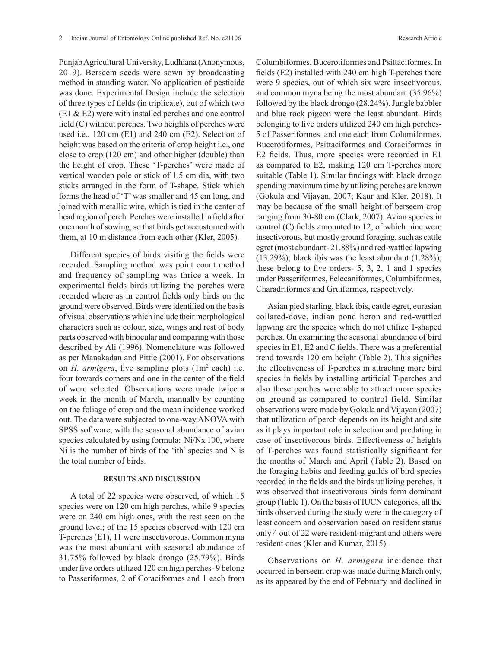Punjab Agricultural University, Ludhiana (Anonymous, 2019). Berseem seeds were sown by broadcasting method in standing water. No application of pesticide was done. Experimental Design include the selection of three types of fields (in triplicate), out of which two (E1 & E2) were with installed perches and one control field (C) without perches. Two heights of perches were used i.e., 120 cm (E1) and 240 cm (E2). Selection of height was based on the criteria of crop height i.e., one close to crop (120 cm) and other higher (double) than the height of crop. These 'T-perches' were made of vertical wooden pole or stick of 1.5 cm dia, with two sticks arranged in the form of T-shape. Stick which forms the head of 'T' was smaller and 45 cm long, and joined with metallic wire, which is tied in the center of head region of perch. Perches were installed in field after one month of sowing, so that birds get accustomed with them, at 10 m distance from each other (Kler, 2005).

Different species of birds visiting the fields were recorded. Sampling method was point count method and frequency of sampling was thrice a week. In experimental fields birds utilizing the perches were recorded where as in control fields only birds on the ground were observed. Birds were identified on the basis of visual observations which include their morphological characters such as colour, size, wings and rest of body parts observed with binocular and comparing with those described by Ali (1996). Nomenclature was followed as per Manakadan and Pittie (2001). For observations on  $H$ . *armigera*, five sampling plots  $(1m^2 \text{ each})$  i.e. four towards corners and one in the center of the field of were selected. Observations were made twice a week in the month of March, manually by counting on the foliage of crop and the mean incidence worked out. The data were subjected to one-way ANOVA with SPSS software, with the seasonal abundance of avian species calculated by using formula: Ni/Nx 100, where Ni is the number of birds of the 'ith' species and N is the total number of birds.

## **RESULTS AND DISCUSSION**

A total of 22 species were observed, of which 15 species were on 120 cm high perches, while 9 species were on 240 cm high ones, with the rest seen on the ground level; of the 15 species observed with 120 cm T-perches (E1), 11 were insectivorous. Common myna was the most abundant with seasonal abundance of 31.75% followed by black drongo (25.79%). Birds under five orders utilized 120 cm high perches- 9 belong to Passeriformes, 2 of Coraciformes and 1 each from

Columbiformes, Bucerotiformes and Psittaciformes. In fields (E2) installed with 240 cm high T-perches there were 9 species, out of which six were insectivorous, and common myna being the most abundant (35.96%) followed by the black drongo (28.24%). Jungle babbler and blue rock pigeon were the least abundant. Birds belonging to five orders utilized 240 cm high perches-5 of Passeriformes and one each from Columiformes, Bucerotiformes, Psittaciformes and Coraciformes in E2 fields. Thus, more species were recorded in E1 as compared to E2, making 120 cm T-perches more suitable (Table 1). Similar findings with black drongo spending maximum time by utilizing perches are known (Gokula and Vijayan, 2007; Kaur and Kler, 2018). It may be because of the small height of berseem crop ranging from 30-80 cm (Clark, 2007). Avian species in control (C) fields amounted to 12, of which nine were insectivorous, but mostly ground foraging, such as cattle egret (most abundant- 21.88%) and red-wattled lapwing  $(13.29\%)$ ; black ibis was the least abundant  $(1.28\%)$ ; these belong to five orders- 5, 3, 2, 1 and 1 species under Passeriformes, Pelecaniformes, Columbiformes, Charadriformes and Gruiformes, respectively.

Asian pied starling, black ibis, cattle egret, eurasian collared-dove, indian pond heron and red-wattled lapwing are the species which do not utilize T-shaped perches. On examining the seasonal abundance of bird species in E1, E2 and C fields. There was a preferential trend towards 120 cm height (Table 2). This signifies the effectiveness of T-perches in attracting more bird species in fields by installing artificial T-perches and also these perches were able to attract more species on ground as compared to control field. Similar observations were made by Gokula and Vijayan (2007) that utilization of perch depends on its height and site as it plays important role in selection and predating in case of insectivorous birds. Effectiveness of heights of T-perches was found statistically significant for the months of March and April (Table 2). Based on the foraging habits and feeding guilds of bird species recorded in the fields and the birds utilizing perches, it was observed that insectivorous birds form dominant group (Table 1). On the basis of IUCN categories, all the birds observed during the study were in the category of least concern and observation based on resident status only 4 out of 22 were resident-migrant and others were resident ones (Kler and Kumar, 2015).

Observations on *H. armigera* incidence that occurred in berseem crop was made during March only, as its appeared by the end of February and declined in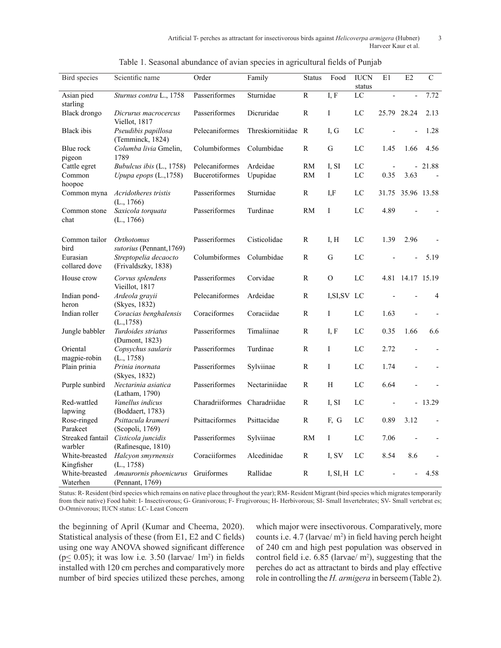| Bird species                 | Scientific name                               | Order                 | Family              | <b>Status</b>  | Food              | <b>IUCN</b><br>status | E1    | E2               | $\overline{C}$ |
|------------------------------|-----------------------------------------------|-----------------------|---------------------|----------------|-------------------|-----------------------|-------|------------------|----------------|
| Asian pied<br>starling       | Sturnus contra L., 1758                       | Passeriformes         | Sturnidae           | $\overline{R}$ | $\overline{I, F}$ | $\overline{LC}$       |       |                  | 7.72           |
| Black drongo                 | Dicrurus macrocercus<br>Viellot, 1817         | Passeriformes         | Dicruridae          | R              | I                 | LC                    |       | 25.79 28.24      | 2.13           |
| Black ibis                   | Pseudibis papillosa<br>(Temminck, 1824)       | Pelecaniformes        | Threskiornitiidae R |                | I.G               | LC                    |       |                  | 1.28           |
| Blue rock<br>pigeon          | Columba livia Gmelin,<br>1789                 | Columbiformes         | Columbidae          | $\mathbb{R}$   | ${\bf G}$         | LC                    | 1.45  | 1.66             | 4.56           |
| Cattle egret                 | Bubulcus ibis (L., 1758)                      | Pelecaniformes        | Ardeidae            | RM             | I, SI             | LC                    |       |                  | $-21.88$       |
| Common                       | Upupa epops (L.,1758)                         | <b>Bucerotiformes</b> | Upupidae            | <b>RM</b>      | $\mathbf I$       | LC                    | 0.35  | 3.63             |                |
| hoopoe                       |                                               |                       |                     |                |                   |                       |       |                  |                |
| Common myna                  | Acridotheres tristis<br>(L., 1766)            | Passeriformes         | Sturnidae           | R              | I, F              | LC                    | 31.75 | 35.96 13.58      |                |
| Common stone<br>chat         | Saxicola torquata<br>(L., 1766)               | Passeriformes         | Turdinae            | <b>RM</b>      | I                 | LC                    | 4.89  |                  |                |
| Common tailor<br>bird        | <b>Orthotomus</b><br>sutorius (Pennant, 1769) | Passeriformes         | Cisticolidae        | R              | I, H              | LC                    | 1.39  | 2.96             |                |
| Eurasian<br>collared dove    | Streptopelia decaocto<br>(Frivaldszky, 1838)  | Columbiformes         | Columbidae          | R              | G                 | LC                    |       | $\overline{a}$   | 5.19           |
| House crow                   | Corvus splendens<br>Vieillot, 1817            | Passeriformes         | Corvidae            | R              | $\Omega$          | LC                    |       | 4.81 14.17 15.19 |                |
| Indian pond-<br>heron        | Ardeola grayii<br>(Skyes, 1832)               | Pelecaniformes        | Ardeidae            | R              | I, SI, SV LC      |                       |       |                  | 4              |
| Indian roller                | Coracias benghalensis<br>(L., 1758)           | Coraciformes          | Coraciidae          | R              | $\bf{I}$          | LC                    | 1.63  |                  |                |
| Jungle babbler               | Turdoides striatus<br>(Dumont, 1823)          | Passeriformes         | Timaliinae          | R              | I, F              | LC                    | 0.35  | 1.66             | 6.6            |
| Oriental<br>magpie-robin     | Copsychus saularis<br>(L., 1758)              | Passeriformes         | Turdinae            | R              | I                 | LC                    | 2.72  |                  |                |
| Plain prinia                 | Prinia inornata<br>(Skyes, 1832)              | Passeriformes         | Sylviinae           | R              | I                 | LC                    | 1.74  |                  |                |
| Purple sunbird               | Nectarinia asiatica<br>(Latham, 1790)         | Passeriformes         | Nectariniidae       | $\mathbb{R}$   | H                 | LC                    | 6.64  |                  |                |
| Red-wattled<br>lapwing       | Vanellus indicus<br>(Boddaert, 1783)          | Charadriiformes       | Charadriidae        | R              | I, SI             | LC                    |       |                  | $-13.29$       |
| Rose-ringed<br>Parakeet      | Psittacula krameri<br>(Scopoli, 1769)         | Psittaciformes        | Psittacidae         | R              | F, G              | LC                    | 0.89  | 3.12             |                |
| Streaked fantail<br>warbler  | Cisticola juncidis<br>(Rafinesque, 1810)      | Passeriformes         | Sylviinae           | <b>RM</b>      | I                 | LC                    | 7.06  |                  |                |
| White-breasted<br>Kingfisher | Halcyon smyrnensis<br>(L., 1758)              | Coraciiformes         | Alcedinidae         | R              | I, SV             | LC                    | 8.54  | 8.6              |                |
| White-breasted<br>Waterhen   | Amaurornis phoenicurus<br>(Pennant, 1769)     | Gruiformes            | Rallidae            | R              | $I, SI, H$ LC     |                       |       |                  | 4.58           |

| Table 1. Seasonal abundance of avian species in agricultural fields of Punjab |  |  |  |  |  |
|-------------------------------------------------------------------------------|--|--|--|--|--|
|                                                                               |  |  |  |  |  |
|                                                                               |  |  |  |  |  |

Status: R- Resident (bird species which remains on native place throughout the year); RM- Resident Migrant (bird species which migrates temporarily from their native) Food habit: I- Insectivorous; G- Granivorous; F- Frugivorous; H- Herbivorous; SI- Small Invertebrates; SV- Small vertebrat es; O-Omnivorous; IUCN status: LC- Least Concern

the beginning of April (Kumar and Cheema, 2020). Statistical analysis of these (from E1, E2 and C fields) using one way ANOVA showed significant difference  $(p \le 0.05)$ ; it was low i.e. 3.50 (larvae/  $1m^2$ ) in fields installed with 120 cm perches and comparatively more number of bird species utilized these perches, among

which major were insectivorous. Comparatively, more counts i.e.  $4.7$  (larvae/  $m<sup>2</sup>$ ) in field having perch height of 240 cm and high pest population was observed in control field i.e.  $6.85$  (larvae/  $m<sup>2</sup>$ ), suggesting that the perches do act as attractant to birds and play effective role in controlling the *H. armigera* in berseem (Table 2).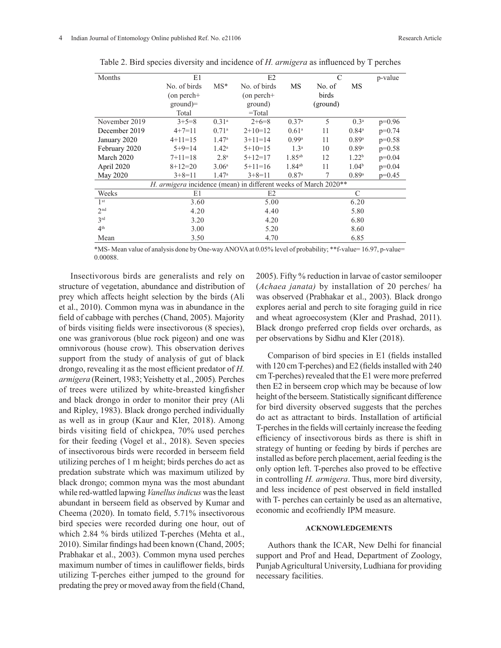| Months          | E1                                                              | E2                |                | $\mathcal{C}$       |          | p-value             |          |
|-----------------|-----------------------------------------------------------------|-------------------|----------------|---------------------|----------|---------------------|----------|
|                 | No. of birds                                                    | $MS^*$            | No. of birds   | MS                  | No. of   | MS                  |          |
|                 | $($ on perch+                                                   |                   | $($ on perch+  |                     | birds    |                     |          |
|                 | $ground$ =                                                      |                   | ground)        |                     | (ground) |                     |          |
|                 | Total                                                           |                   | $=$ Total      |                     |          |                     |          |
| November 2019   | $3+5=8$                                                         | 0.31 <sup>a</sup> | $2+6=8$        | 0.37 <sup>a</sup>   | 5        | 0.3 <sup>a</sup>    | $p=0.96$ |
| December 2019   | $4+7=11$                                                        | 0.71 <sup>a</sup> | $2+10=12$      | 0.61 <sup>a</sup>   | 11       | $0.84^{\circ}$      | $p=0.74$ |
| January 2020    | $4+11=15$                                                       | 1.47 <sup>a</sup> | $3+11=14$      | $0.99$ <sup>a</sup> | 11       | $0.89$ <sup>a</sup> | $p=0.58$ |
| February 2020   | $5+9=14$                                                        | $1.42^{\rm a}$    | $5+10=15$      | 1.3 <sup>a</sup>    | 10       | $0.89$ <sup>a</sup> | $p=0.58$ |
| March 2020      | $7+11=18$                                                       | 2.8 <sup>a</sup>  | $5+12=17$      | $1.85^{ab}$         | 12       | 1.22 <sup>b</sup>   | $p=0.04$ |
| April 2020      | $8+12=20$                                                       | 3.06 <sup>a</sup> | $5+11=16$      | $1.84^{ab}$         | 11       | 1.04 <sup>b</sup>   | $p=0.04$ |
| May 2020        | $3+8=11$                                                        | 1.47 <sup>a</sup> | $3+8=11$       | 0.87 <sup>a</sup>   | 7        | $0.89$ <sup>a</sup> | $p=0.45$ |
|                 | H. armigera incidence (mean) in different weeks of March 2020** |                   |                |                     |          |                     |          |
| Weeks           | E1                                                              |                   | E <sub>2</sub> |                     |          | C                   |          |
| 1 <sup>st</sup> | 3.60                                                            |                   | 5.00           |                     |          | 6.20                |          |
| 2 <sup>nd</sup> | 4.20                                                            |                   | 4.40           |                     |          | 5.80                |          |
| 3 <sup>rd</sup> | 3.20                                                            |                   |                | 4.20                |          | 6.80                |          |
| 4 <sup>th</sup> | 3.00                                                            |                   |                | 5.20                |          | 8.60                |          |
| Mean            | 3.50                                                            |                   | 4.70           |                     |          | 6.85                |          |

Table 2. Bird species diversity and incidence of *H. armigera* as influenced by T perches

\*MS- Mean value of analysis done by One-way ANOVA at 0.05% level of probability; \*\*f-value= 16.97, p-value= 0.00088.

Insectivorous birds are generalists and rely on structure of vegetation, abundance and distribution of prey which affects height selection by the birds (Ali et al., 2010). Common myna was in abundance in the field of cabbage with perches (Chand, 2005). Majority of birds visiting fields were insectivorous (8 species), one was granivorous (blue rock pigeon) and one was omnivorous (house crow). This observation derives support from the study of analysis of gut of black drongo, revealing it as the most efficient predator of *H. armigera* (Reinert, 1983; Yeishetty et al., 2005)*.* Perches of trees were utilized by white-breasted kingfisher and black drongo in order to monitor their prey (Ali and Ripley, 1983). Black drongo perched individually as well as in group (Kaur and Kler, 2018). Among birds visiting field of chickpea, 70% used perches for their feeding (Vogel et al., 2018). Seven species of insectivorous birds were recorded in berseem field utilizing perches of 1 m height; birds perches do act as predation substrate which was maximum utilized by black drongo; common myna was the most abundant while red-wattled lapwing *Vanellus indicus* was the least abundant in berseem field as observed by Kumar and Cheema (2020). In tomato field, 5.71% insectivorous bird species were recorded during one hour, out of which 2.84 % birds utilized T-perches (Mehta et al., 2010). Similar findings had been known (Chand, 2005; Prabhakar et al., 2003). Common myna used perches maximum number of times in cauliflower fields, birds utilizing T-perches either jumped to the ground for predating the prey or moved away from the field (Chand,

2005). Fifty % reduction in larvae of castor semilooper (*Achaea janata)* by installation of 20 perches/ ha was observed (Prabhakar et al., 2003). Black drongo explores aerial and perch to site foraging guild in rice and wheat agroecosystem (Kler and Prashad, 2011). Black drongo preferred crop fields over orchards, as per observations by Sidhu and Kler (2018).

Comparison of bird species in E1 (fields installed with 120 cm T-perches) and E2 (fields installed with 240 cm T-perches) revealed that the E1 were more preferred then E2 in berseem crop which may be because of low height of the berseem. Statistically significant difference for bird diversity observed suggests that the perches do act as attractant to birds. Installation of artificial T-perches in the fields will certainly increase the feeding efficiency of insectivorous birds as there is shift in strategy of hunting or feeding by birds if perches are installed as before perch placement, aerial feeding is the only option left. T-perches also proved to be effective in controlling *H. armigera*. Thus, more bird diversity, and less incidence of pest observed in field installed with T- perches can certainly be used as an alternative, economic and ecofriendly IPM measure.

# **ACKNOWLEDGEMENTS**

Authors thank the ICAR, New Delhi for financial support and Prof and Head, Department of Zoology, Punjab Agricultural University, Ludhiana for providing necessary facilities.